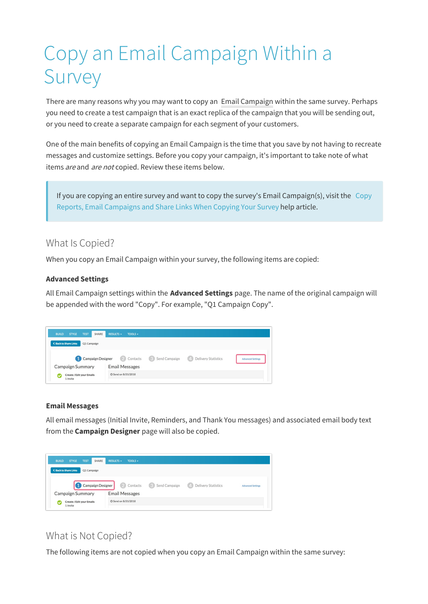# Copy an Email Campaign Within a Survey

There are many reasons why you may want to copy an Email Campaign within the same survey. Perhaps you need to create a test campaign that is an exact replica of the campaign that you will be sending out, or you need to create a separate campaign for each segment of your customers.

One of the main benefits of copying an Email Campaign is the time that you save by not having to recreate messages and customize settings. Before you copy your campaign, it's important to take note of what items *are* and *are not* copied. Review these items below.

If you are copying an entire survey and want to copy the survey's Email Campaign(s), visit the Copy Reports, Email Campaigns and Share Links When Copying Your Survey help article.

## What Is Copied?

When you copy an Email Campaign within your survey, the following items are copied:

## **Advanced Settings**

All Email Campaign settings within the **Advanced Settings** page. The name of the original campaign will be appended with the word "Copy". For example, "Q1 Campaign Copy".

| SHARE<br><b>STYLE</b><br><b>TEST</b><br><b>BUILD</b> | <b>RESULTS -</b><br>TOOLS $\div$                                                                                 |
|------------------------------------------------------|------------------------------------------------------------------------------------------------------------------|
| K Back to Share Links<br>Q1 Campaign                 |                                                                                                                  |
| 1 Campaign Designer                                  | 2 Contacts<br>Send Campaign<br><b>Delivery Statistics</b><br>$\left(3\right)$<br>(4)<br><b>Advanced Settings</b> |
| Campaign Summary                                     | <b>Email Messages</b>                                                                                            |
| Create / Edit your Emails<br>1 Invite                | 2 Send on 8/31/2018                                                                                              |

## **Email Messages**

All email messages (Initial Invite, Reminders, and Thank You messages) and associated email body text from the **Campaign Designer** page will also be copied.



## What is Not Copied?

The following items are not copied when you copy an Email Campaign within the same survey: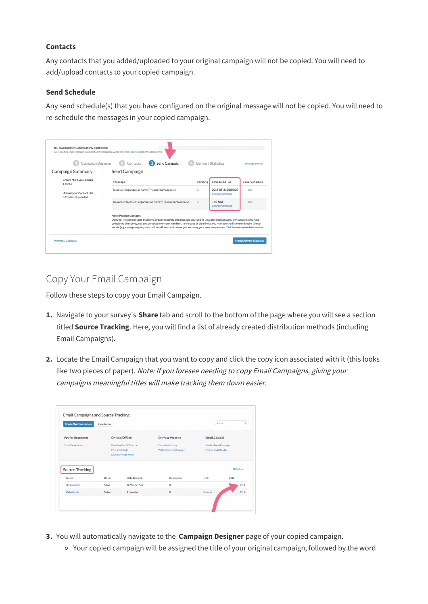#### **Contacts**

Any contacts that you added/uploaded to your original campaign will not be copied. You will need to add/upload contacts to your copied campaign.

#### **Send Schedule**

Any send schedule(s) that you have configured on the original message will not be copied. You will need to re-schedule the messages in your copied campaign.

| <b>Campaign Designer</b>                                      | Send Campaign<br>Contacts                                                                                                                                                                                                                                                                                                                                                                                                           |          | <b>Delivery Statistics</b>                    | <b>Advanced Settings</b> |
|---------------------------------------------------------------|-------------------------------------------------------------------------------------------------------------------------------------------------------------------------------------------------------------------------------------------------------------------------------------------------------------------------------------------------------------------------------------------------------------------------------------|----------|-----------------------------------------------|--------------------------|
| <b>Campaign Summary</b>                                       | <b>Send Campaign</b>                                                                                                                                                                                                                                                                                                                                                                                                                |          |                                               |                          |
| <b>Create / Edit your Emails</b><br>1 Invite                  | Message                                                                                                                                                                                                                                                                                                                                                                                                                             | Pending  | <b>Scheduled For</b>                          | Send/Schedule            |
| <b>Upload your Contact List</b><br><b>0 Contacts Uploaded</b> | [account("organization name")] needs your feedback!                                                                                                                                                                                                                                                                                                                                                                                 | O        | 2018-08-31 01:00:00<br><b>Change Schedule</b> | Test                     |
|                                                               | Reminder: [account("organization name")] needs your feedback!                                                                                                                                                                                                                                                                                                                                                                       | $\Omega$ | $+10$ days<br><b>Change Schedule</b>          | Test                     |
|                                                               | <b>Note: Pending Contacts</b><br>Does not include contacts that have already received the message, bounced or unsubscribed contacts, any contacts who have<br>completed the survey, nor any contacts over your plan limit. In the case of plan limits, you may buy credits to send more. Group<br>emails (e.g. sales@company.com) will be will not send unless you are using your own smtp server. Click here for more information. |          |                                               |                          |

## Copy Your Email Campaign

Follow these steps to copy your Email Campaign.

- **1.** Navigate to your survey's **Share** tab and scroll to the bottom of the page where you will see a section titled **Source Tracking**. Here, you will find a list of already created distribution methods (including Email Campaigns).
- **2.** Locate the Email Campaign that you want to copy and click the copy icon associated with it (this looks like two pieces of paper). Note: If you foresee needing to copy Email Campaigns, giving your campaigns meaningful titles will make tracking them down easier.

| <b>Create New Tracking Link</b> | <b>Close Survey</b>     |                                                                     |                                                    |                                                | Search<br>$\alpha$  |
|---------------------------------|-------------------------|---------------------------------------------------------------------|----------------------------------------------------|------------------------------------------------|---------------------|
| Pay for Responses               |                         | On-site/Offline                                                     | On Your Website                                    | Email & Social                                 |                     |
| <b>Third-Party Panels</b>       |                         | Download for Offline Use<br>Print a OR Code<br>Launch in Kiosk Mode | <b>Embedded Survey</b><br>Website Intercept Survey | Send an Email Campaign<br>Post on Social Media |                     |
| <b>Source Tracking</b>          |                         |                                                                     |                                                    |                                                | <b>D</b> Restore    |
| Name                            | <b>Status</b><br>Active | Date Created<br>10 Minutes Ago                                      | <b>Responses</b><br>0                              | Link                                           | Edit<br><b>Chix</b> |
| Q1 Campaign                     |                         |                                                                     |                                                    | Share $\vee$                                   | Oh x                |

- **3.** You will automatically navigate to the **Campaign Designer** page of your copied campaign.
	- Your copied campaign will be assigned the title of your original campaign, followed by the word